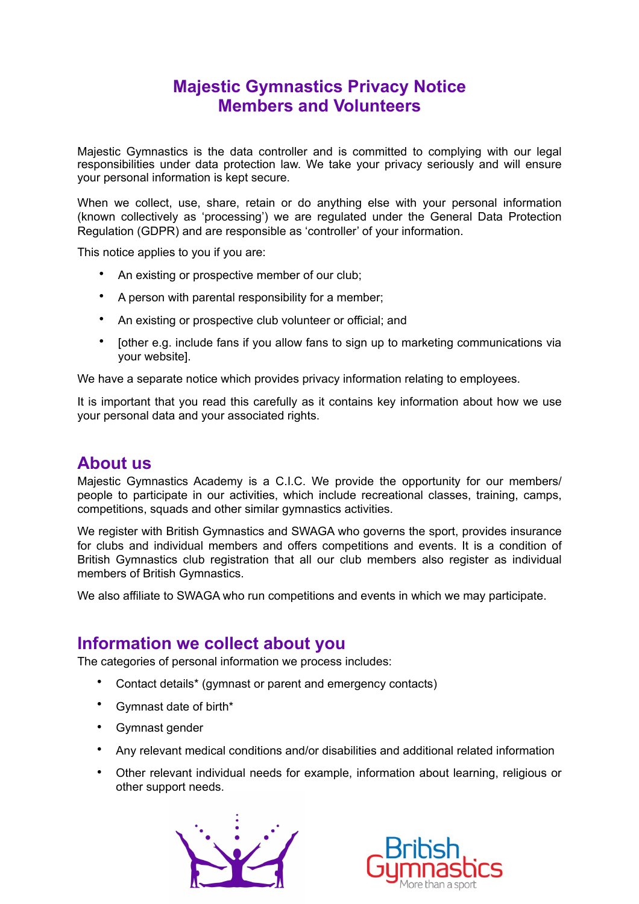# **Majestic Gymnastics Privacy Notice Members and Volunteers**

Majestic Gymnastics is the data controller and is committed to complying with our legal responsibilities under data protection law. We take your privacy seriously and will ensure your personal information is kept secure.

When we collect, use, share, retain or do anything else with your personal information (known collectively as 'processing') we are regulated under the General Data Protection Regulation (GDPR) and are responsible as 'controller' of your information.

This notice applies to you if you are:

- An existing or prospective member of our club;
- A person with parental responsibility for a member;
- An existing or prospective club volunteer or official; and
- [other e.g. include fans if you allow fans to sign up to marketing communications via your website].

We have a separate notice which provides privacy information relating to employees.

It is important that you read this carefully as it contains key information about how we use your personal data and your associated rights.

# **About us**

Majestic Gymnastics Academy is a C.I.C. We provide the opportunity for our members/ people to participate in our activities, which include recreational classes, training, camps, competitions, squads and other similar gymnastics activities.

We register with British Gymnastics and SWAGA who governs the sport, provides insurance for clubs and individual members and offers competitions and events. It is a condition of British Gymnastics club registration that all our club members also register as individual members of British Gymnastics.

We also affiliate to SWAGA who run competitions and events in which we may participate.

# **Information we collect about you**

The categories of personal information we process includes:

- Contact details\* (gymnast or parent and emergency contacts)
- Gymnast date of birth\*
- Gymnast gender
- Any relevant medical conditions and/or disabilities and additional related information
- Other relevant individual needs for example, information about learning, religious or other support needs.



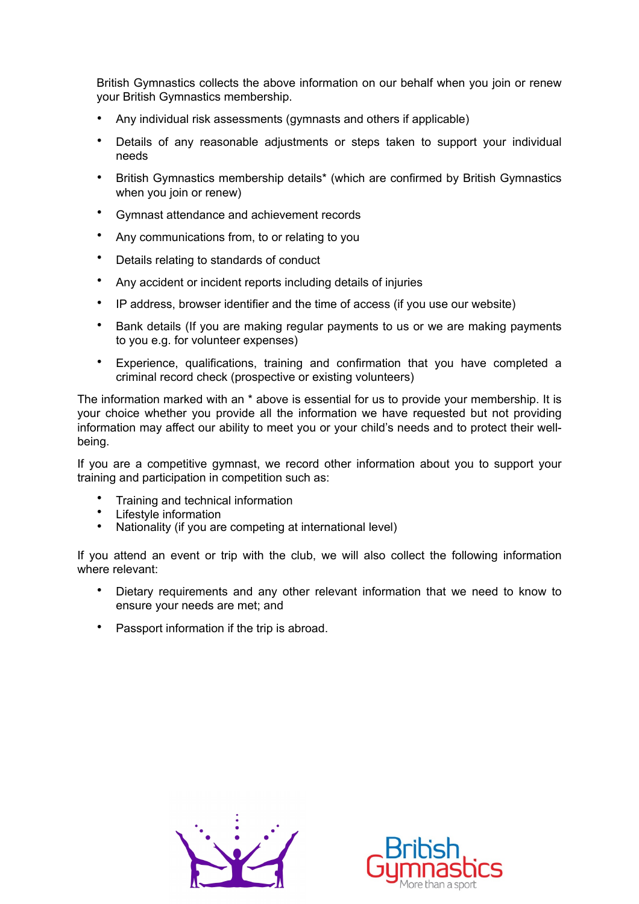British Gymnastics collects the above information on our behalf when you join or renew your British Gymnastics membership.

- Any individual risk assessments (gymnasts and others if applicable)
- Details of any reasonable adjustments or steps taken to support your individual needs
- British Gymnastics membership details\* (which are confirmed by British Gymnastics when you join or renew)
- Gymnast attendance and achievement records
- Any communications from, to or relating to you
- Details relating to standards of conduct
- Any accident or incident reports including details of injuries
- IP address, browser identifier and the time of access (if you use our website)
- Bank details (If you are making regular payments to us or we are making payments to you e.g. for volunteer expenses)
- Experience, qualifications, training and confirmation that you have completed a criminal record check (prospective or existing volunteers)

The information marked with an \* above is essential for us to provide your membership. It is your choice whether you provide all the information we have requested but not providing information may affect our ability to meet you or your child's needs and to protect their wellbeing.

If you are a competitive gymnast, we record other information about you to support your training and participation in competition such as:

- Training and technical information
- Lifestyle information<br>• Nationality (if you are
- Nationality (if you are competing at international level)

If you attend an event or trip with the club, we will also collect the following information where relevant:

- Dietary requirements and any other relevant information that we need to know to ensure your needs are met; and
- Passport information if the trip is abroad.



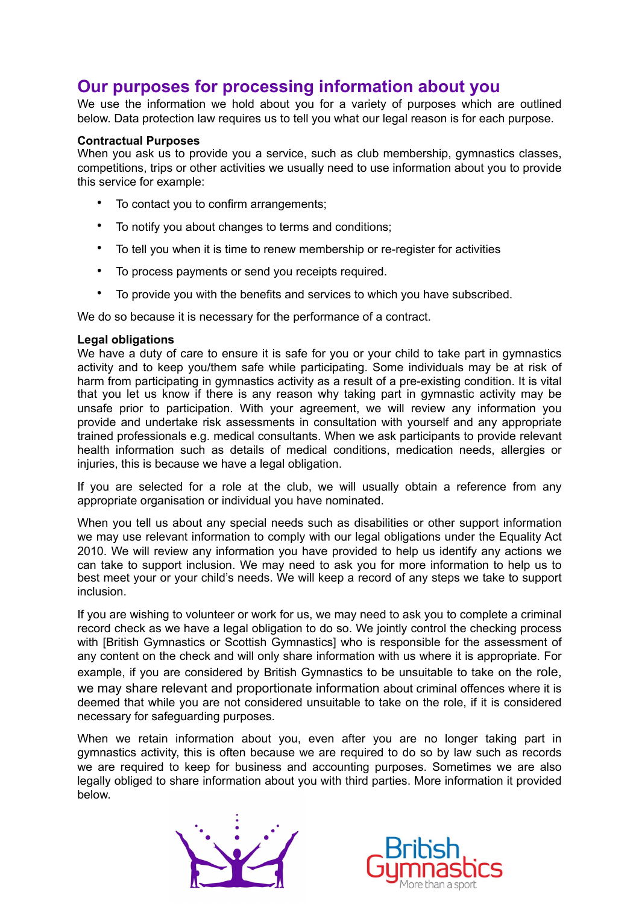# **Our purposes for processing information about you**

We use the information we hold about you for a variety of purposes which are outlined below. Data protection law requires us to tell you what our legal reason is for each purpose.

### **Contractual Purposes**

When you ask us to provide you a service, such as club membership, gymnastics classes, competitions, trips or other activities we usually need to use information about you to provide this service for example:

- To contact you to confirm arrangements;
- To notify you about changes to terms and conditions;
- To tell you when it is time to renew membership or re-register for activities
- To process payments or send you receipts required.
- To provide you with the benefits and services to which you have subscribed.

We do so because it is necessary for the performance of a contract.

#### **Legal obligations**

We have a duty of care to ensure it is safe for you or your child to take part in gymnastics activity and to keep you/them safe while participating. Some individuals may be at risk of harm from participating in gymnastics activity as a result of a pre-existing condition. It is vital that you let us know if there is any reason why taking part in gymnastic activity may be unsafe prior to participation. With your agreement, we will review any information you provide and undertake risk assessments in consultation with yourself and any appropriate trained professionals e.g. medical consultants. When we ask participants to provide relevant health information such as details of medical conditions, medication needs, allergies or injuries, this is because we have a legal obligation.

If you are selected for a role at the club, we will usually obtain a reference from any appropriate organisation or individual you have nominated.

When you tell us about any special needs such as disabilities or other support information we may use relevant information to comply with our legal obligations under the Equality Act 2010. We will review any information you have provided to help us identify any actions we can take to support inclusion. We may need to ask you for more information to help us to best meet your or your child's needs. We will keep a record of any steps we take to support inclusion.

If you are wishing to volunteer or work for us, we may need to ask you to complete a criminal record check as we have a legal obligation to do so. We jointly control the checking process with [British Gymnastics or Scottish Gymnastics] who is responsible for the assessment of any content on the check and will only share information with us where it is appropriate. For example, if you are considered by British Gymnastics to be unsuitable to take on the role, we may share relevant and proportionate information about criminal offences where it is deemed that while you are not considered unsuitable to take on the role, if it is considered necessary for safeguarding purposes.

When we retain information about you, even after you are no longer taking part in gymnastics activity, this is often because we are required to do so by law such as records we are required to keep for business and accounting purposes. Sometimes we are also legally obliged to share information about you with third parties. More information it provided below.



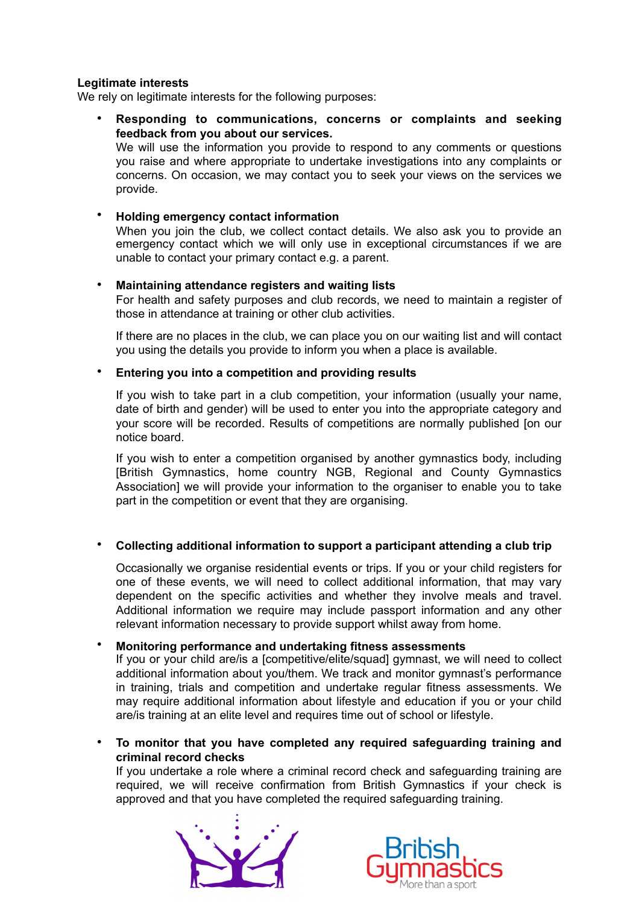## **Legitimate interests**

We rely on legitimate interests for the following purposes:

• **Responding to communications, concerns or complaints and seeking feedback from you about our services.**  We will use the information you provide to respond to any comments or questions you raise and where appropriate to undertake investigations into any complaints or concerns. On occasion, we may contact you to seek your views on the services we provide.

# • **Holding emergency contact information**

When you join the club, we collect contact details. We also ask you to provide an emergency contact which we will only use in exceptional circumstances if we are unable to contact your primary contact e.g. a parent.

### • **Maintaining attendance registers and waiting lists**

For health and safety purposes and club records, we need to maintain a register of those in attendance at training or other club activities.

If there are no places in the club, we can place you on our waiting list and will contact you using the details you provide to inform you when a place is available.

### • **Entering you into a competition and providing results**

If you wish to take part in a club competition, your information (usually your name, date of birth and gender) will be used to enter you into the appropriate category and your score will be recorded. Results of competitions are normally published [on our notice board.

If you wish to enter a competition organised by another gymnastics body, including [British Gymnastics, home country NGB, Regional and County Gymnastics Association] we will provide your information to the organiser to enable you to take part in the competition or event that they are organising.

### • **Collecting additional information to support a participant attending a club trip**

Occasionally we organise residential events or trips. If you or your child registers for one of these events, we will need to collect additional information, that may vary dependent on the specific activities and whether they involve meals and travel. Additional information we require may include passport information and any other relevant information necessary to provide support whilst away from home.

### • **Monitoring performance and undertaking fitness assessments**

If you or your child are/is a [competitive/elite/squad] gymnast, we will need to collect additional information about you/them. We track and monitor gymnast's performance in training, trials and competition and undertake regular fitness assessments. We may require additional information about lifestyle and education if you or your child are/is training at an elite level and requires time out of school or lifestyle.

## • **To monitor that you have completed any required safeguarding training and criminal record checks**

If you undertake a role where a criminal record check and safeguarding training are required, we will receive confirmation from British Gymnastics if your check is approved and that you have completed the required safeguarding training.



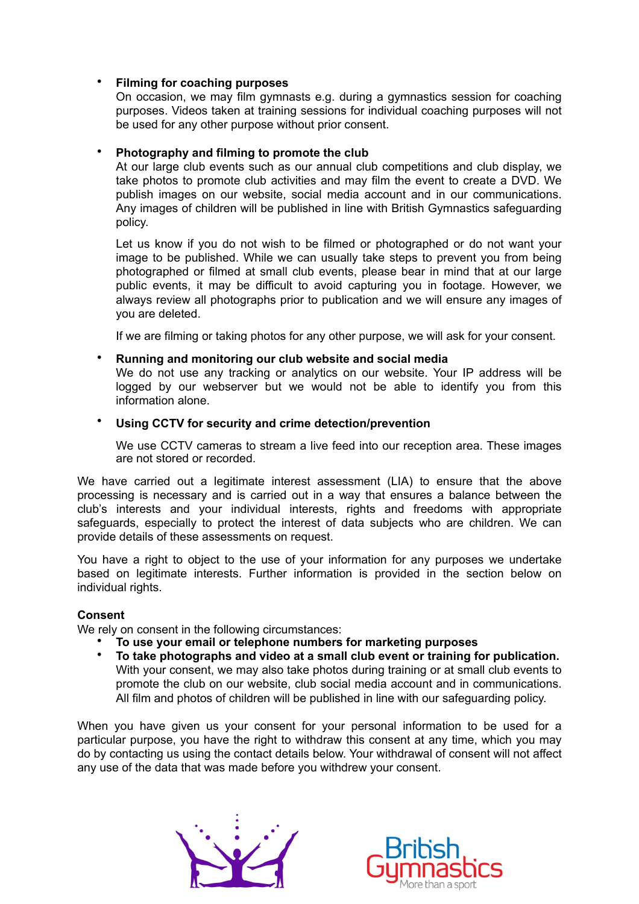## • **Filming for coaching purposes**

On occasion, we may film gymnasts e.g. during a gymnastics session for coaching purposes. Videos taken at training sessions for individual coaching purposes will not be used for any other purpose without prior consent.

### • **Photography and filming to promote the club**

At our large club events such as our annual club competitions and club display, we take photos to promote club activities and may film the event to create a DVD. We publish images on our website, social media account and in our communications. Any images of children will be published in line with British Gymnastics safeguarding policy.

Let us know if you do not wish to be filmed or photographed or do not want your image to be published. While we can usually take steps to prevent you from being photographed or filmed at small club events, please bear in mind that at our large public events, it may be difficult to avoid capturing you in footage. However, we always review all photographs prior to publication and we will ensure any images of you are deleted.

If we are filming or taking photos for any other purpose, we will ask for your consent.

#### • **Running and monitoring our club website and social media**

We do not use any tracking or analytics on our website. Your IP address will be logged by our webserver but we would not be able to identify you from this information alone.

#### • **Using CCTV for security and crime detection/prevention**

We use CCTV cameras to stream a live feed into our reception area. These images are not stored or recorded.

We have carried out a legitimate interest assessment (LIA) to ensure that the above processing is necessary and is carried out in a way that ensures a balance between the club's interests and your individual interests, rights and freedoms with appropriate safeguards, especially to protect the interest of data subjects who are children. We can provide details of these assessments on request.

You have a right to object to the use of your information for any purposes we undertake based on legitimate interests. Further information is provided in the section below on individual rights.

#### **Consent**

We rely on consent in the following circumstances:

- **To use your email or telephone numbers for marketing purposes**
- **To take photographs and video at a small club event or training for publication.**  With your consent, we may also take photos during training or at small club events to promote the club on our website, club social media account and in communications. All film and photos of children will be published in line with our safeguarding policy.

When you have given us your consent for your personal information to be used for a particular purpose, you have the right to withdraw this consent at any time, which you may do by contacting us using the contact details below. Your withdrawal of consent will not affect any use of the data that was made before you withdrew your consent.



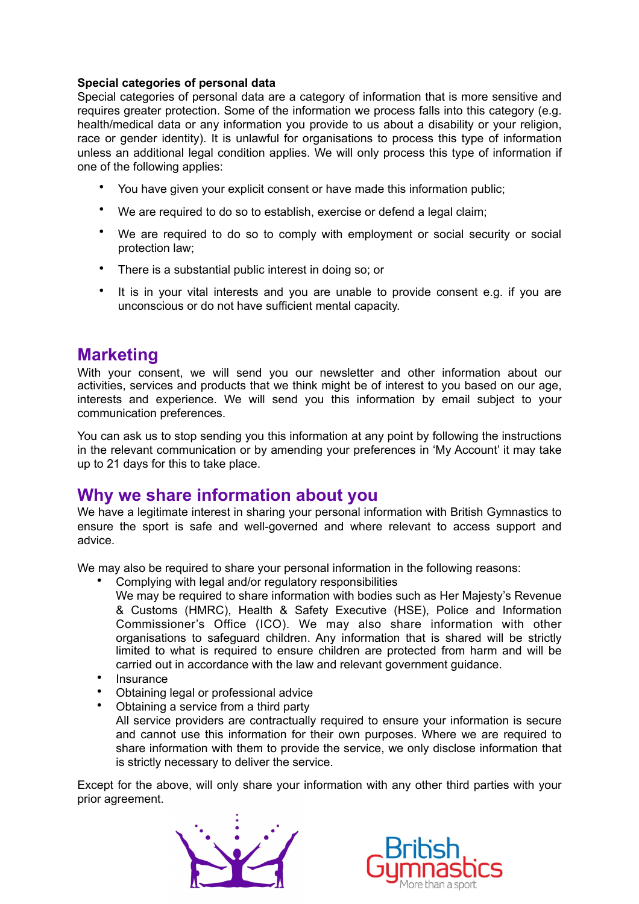## **Special categories of personal data**

Special categories of personal data are a category of information that is more sensitive and requires greater protection. Some of the information we process falls into this category (e.g. health/medical data or any information you provide to us about a disability or your religion, race or gender identity). It is unlawful for organisations to process this type of information unless an additional legal condition applies. We will only process this type of information if one of the following applies:

- You have given your explicit consent or have made this information public;
- We are required to do so to establish, exercise or defend a legal claim;
- We are required to do so to comply with employment or social security or social protection law;
- There is a substantial public interest in doing so; or
- It is in your vital interests and you are unable to provide consent e.g. if you are unconscious or do not have sufficient mental capacity.

# **Marketing**

With your consent, we will send you our newsletter and other information about our activities, services and products that we think might be of interest to you based on our age, interests and experience. We will send you this information by email subject to your communication preferences.

You can ask us to stop sending you this information at any point by following the instructions in the relevant communication or by amending your preferences in 'My Account' it may take up to 21 days for this to take place.

# **Why we share information about you**

We have a legitimate interest in sharing your personal information with British Gymnastics to ensure the sport is safe and well-governed and where relevant to access support and advice.

We may also be required to share your personal information in the following reasons:

- Complying with legal and/or regulatory responsibilities
	- We may be required to share information with bodies such as Her Majesty's Revenue & Customs (HMRC), Health & Safety Executive (HSE), Police and Information Commissioner's Office (ICO). We may also share information with other organisations to safeguard children. Any information that is shared will be strictly limited to what is required to ensure children are protected from harm and will be carried out in accordance with the law and relevant government guidance.
- Insurance
- Obtaining legal or professional advice
- Obtaining a service from a third party

All service providers are contractually required to ensure your information is secure and cannot use this information for their own purposes. Where we are required to share information with them to provide the service, we only disclose information that is strictly necessary to deliver the service.

Except for the above, will only share your information with any other third parties with your prior agreement.



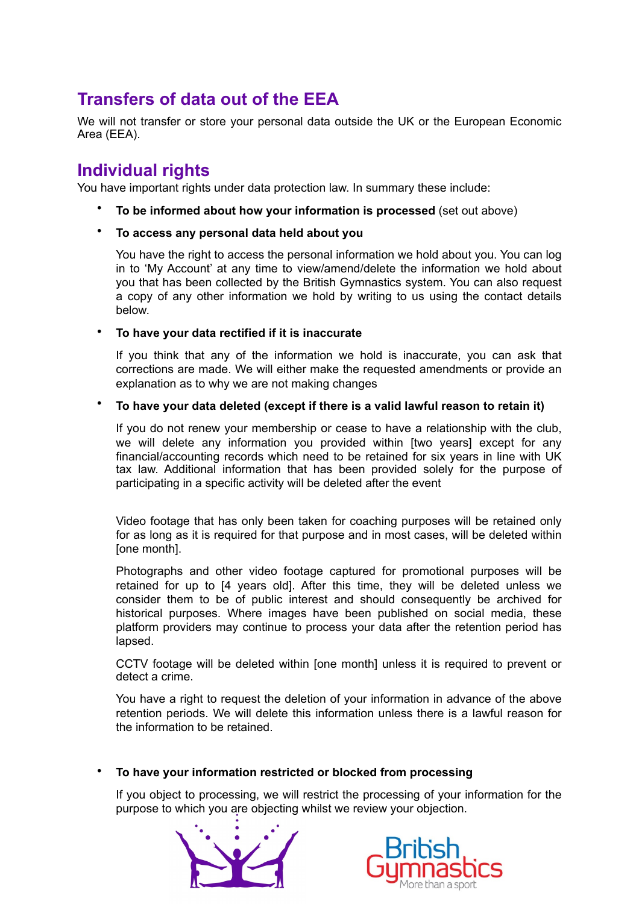# **Transfers of data out of the EEA**

We will not transfer or store your personal data outside the UK or the European Economic Area (EEA).

# **Individual rights**

You have important rights under data protection law. In summary these include:

- **To be informed about how your information is processed** (set out above)
- **To access any personal data held about you**

You have the right to access the personal information we hold about you. You can log in to 'My Account' at any time to view/amend/delete the information we hold about you that has been collected by the British Gymnastics system. You can also request a copy of any other information we hold by writing to us using the contact details below.

## • **To have your data rectified if it is inaccurate**

If you think that any of the information we hold is inaccurate, you can ask that corrections are made. We will either make the requested amendments or provide an explanation as to why we are not making changes

## • **To have your data deleted (except if there is a valid lawful reason to retain it)**

If you do not renew your membership or cease to have a relationship with the club, we will delete any information you provided within [two years] except for any financial/accounting records which need to be retained for six years in line with UK tax law. Additional information that has been provided solely for the purpose of participating in a specific activity will be deleted after the event

Video footage that has only been taken for coaching purposes will be retained only for as long as it is required for that purpose and in most cases, will be deleted within [one month].

Photographs and other video footage captured for promotional purposes will be retained for up to [4 years old]. After this time, they will be deleted unless we consider them to be of public interest and should consequently be archived for historical purposes. Where images have been published on social media, these platform providers may continue to process your data after the retention period has lapsed.

CCTV footage will be deleted within [one month] unless it is required to prevent or detect a crime.

You have a right to request the deletion of your information in advance of the above retention periods. We will delete this information unless there is a lawful reason for the information to be retained.

### • **To have your information restricted or blocked from processing**

If you object to processing, we will restrict the processing of your information for the purpose to which you are objecting whilst we review your objection.